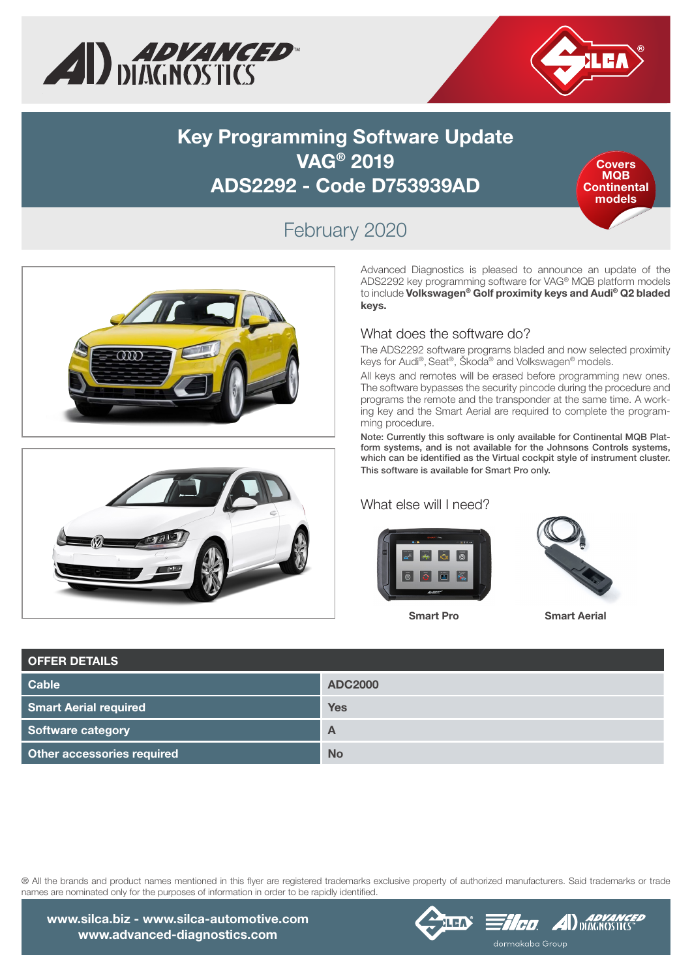



## **Key Programming Software Update VAG® 2019 ADS2292 - Code D753939AD**



## February 2020





Advanced Diagnostics is pleased to announce an update of the ADS2292 key programming software for VAG® MQB platform models to include Volkswagen® Golf proximity keys and Audi**®** Q2 bladed keys.

### What does the software do?

The ADS2292 software programs bladed and now selected proximity keys for Audi®, Seat®, Škoda® and Volkswagen® models.

All keys and remotes will be erased before programming new ones. The software bypasses the security pincode during the procedure and programs the remote and the transponder at the same time. A working key and the Smart Aerial are required to complete the programming procedure.

Note: Currently this software is only available for Continental MQB Platform systems, and is not available for the Johnsons Controls systems, which can be identified as the Virtual cockpit style of instrument cluster. This software is available for Smart Pro only.

#### What else will I need?





Smart Pro Smart Aerial

| <b>OFFER DETAILS</b>              |                |
|-----------------------------------|----------------|
| <b>Cable</b>                      | <b>ADC2000</b> |
| <b>Smart Aerial required</b>      | <b>Yes</b>     |
| Software category                 | $\overline{A}$ |
| <b>Other accessories required</b> | <b>No</b>      |

® All the brands and product names mentioned in this flyer are registered trademarks exclusive property of authorized manufacturers. Said trademarks or trade names are nominated only for the purposes of information in order to be rapidly identified.



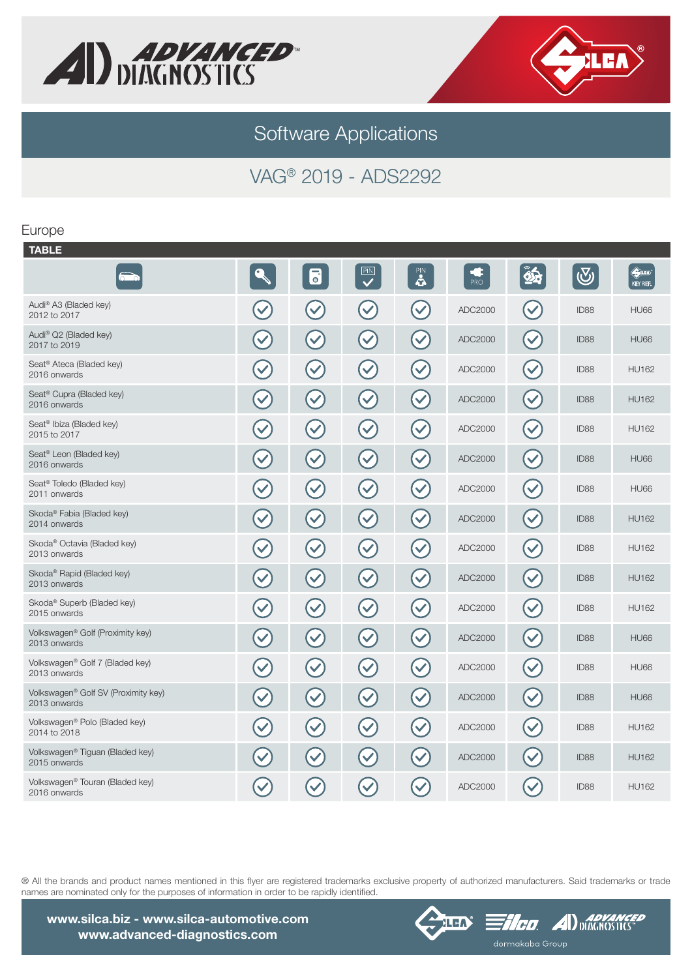



Software Applications

# VAG® 2019 - ADS2292

#### Europe

| <b>TABLE</b>                                                |                      |                      |                      |                                   |         |                      |                  |                               |
|-------------------------------------------------------------|----------------------|----------------------|----------------------|-----------------------------------|---------|----------------------|------------------|-------------------------------|
|                                                             |                      | 6                    | PN                   | $\ddot{\bullet}$                  | PRO     | $\hat{\mathbf{z}}$   | $\bigcirc$       | $\Leftrightarrow$<br>KEY REF. |
| Audi® A3 (Bladed key)<br>2012 to 2017                       |                      | $\blacktriangledown$ | $\blacktriangledown$ | $\blacktriangledown$              | ADC2000 | $\blacktriangledown$ | ID88             | <b>HU66</b>                   |
| Audi® Q2 (Bladed key)<br>2017 to 2019                       | $\blacktriangledown$ | $\blacktriangledown$ | $\blacktriangledown$ | $\blacktriangledown$              | ADC2000 | $\blacktriangledown$ | ID <sub>88</sub> | <b>HU66</b>                   |
| Seat <sup>®</sup> Ateca (Bladed key)<br>2016 onwards        | $\blacktriangledown$ | $\blacktriangledown$ | $\blacktriangledown$ | $\blacktriangledown$              | ADC2000 | $\blacktriangledown$ | ID88             | <b>HU162</b>                  |
| Seat <sup>®</sup> Cupra (Bladed key)<br>2016 onwards        | $\blacktriangledown$ | $\blacktriangledown$ | $\blacktriangledown$ | $\blacktriangledown$              | ADC2000 | $\blacktriangledown$ | ID88             | <b>HU162</b>                  |
| Seat <sup>®</sup> Ibiza (Bladed key)<br>2015 to 2017        | $\blacktriangledown$ | $\blacktriangledown$ | $\blacktriangledown$ | $\blacktriangledown$              | ADC2000 | $\blacktriangledown$ | ID <sub>88</sub> | <b>HU162</b>                  |
| Seat <sup>®</sup> Leon (Bladed key)<br>2016 onwards         | $\blacktriangledown$ | $\blacktriangledown$ | $\blacktriangledown$ | $\blacktriangledown$              | ADC2000 | $\blacktriangledown$ | ID88             | <b>HU66</b>                   |
| Seat <sup>®</sup> Toledo (Bladed key)<br>2011 onwards       | $\blacktriangledown$ | $\blacktriangledown$ | $\blacktriangledown$ | $\blacktriangledown$              | ADC2000 | $\blacktriangledown$ | ID88             | <b>HU66</b>                   |
| Skoda® Fabia (Bladed key)<br>2014 onwards                   | $\checkmark$         | $\blacktriangledown$ | $\blacktriangledown$ | $\blacktriangledown$              | ADC2000 | $\checkmark$         | ID88             | <b>HU162</b>                  |
| Skoda <sup>®</sup> Octavia (Bladed key)<br>2013 onwards     |                      | $\blacktriangledown$ | $\blacktriangledown$ | $\checkmark$                      | ADC2000 | $\blacktriangledown$ | ID88             | <b>HU162</b>                  |
| Skoda <sup>®</sup> Rapid (Bladed key)<br>2013 onwards       | $\blacktriangledown$ | $\blacktriangledown$ | $\blacktriangledown$ | $\blacktriangledown$              | ADC2000 | $\blacktriangledown$ | ID88             | <b>HU162</b>                  |
| Skoda <sup>®</sup> Superb (Bladed key)<br>2015 onwards      |                      | $\blacktriangledown$ | $\checkmark$         | $\blacktriangledown$              | ADC2000 | $\blacktriangledown$ | ID88             | <b>HU162</b>                  |
| Volkswagen® Golf (Proximity key)<br>2013 onwards            |                      | $\blacktriangledown$ | $\blacktriangledown$ | $\blacktriangledown$              | ADC2000 | $\blacktriangledown$ | <b>ID88</b>      | <b>HU66</b>                   |
| Volkswagen® Golf 7 (Bladed key)<br>2013 onwards             |                      | $\checkmark$         | $\checkmark$         | $\left(\blacktriangledown\right)$ | ADC2000 | $\blacktriangledown$ | ID88             | <b>HU66</b>                   |
| Volkswagen® Golf SV (Proximity key)<br>2013 onwards         |                      | $\blacktriangledown$ | $\blacktriangledown$ | $\blacktriangledown$              | ADC2000 | $\blacktriangledown$ | <b>ID88</b>      | <b>HU66</b>                   |
| Volkswagen® Polo (Bladed key)<br>2014 to 2018               |                      | $\checkmark$         | $\checkmark$         | $\blacktriangledown$              | ADC2000 | $\blacktriangledown$ | ID88             | <b>HU162</b>                  |
| Volkswagen <sup>®</sup> Tiguan (Bladed key)<br>2015 onwards |                      | $\checkmark$         | $\checkmark$         | $\checkmark$                      | ADC2000 | $\blacktriangledown$ | ID88             | <b>HU162</b>                  |
| Volkswagen® Touran (Bladed key)<br>2016 onwards             | $\checkmark$         | $\checkmark$         | $\blacktriangledown$ | $\blacktriangledown$              | ADC2000 | $\blacktriangledown$ | ID88             | <b>HU162</b>                  |

® All the brands and product names mentioned in this flyer are registered trademarks exclusive property of authorized manufacturers. Said trademarks or trade names are nominated only for the purposes of information in order to be rapidly identified.